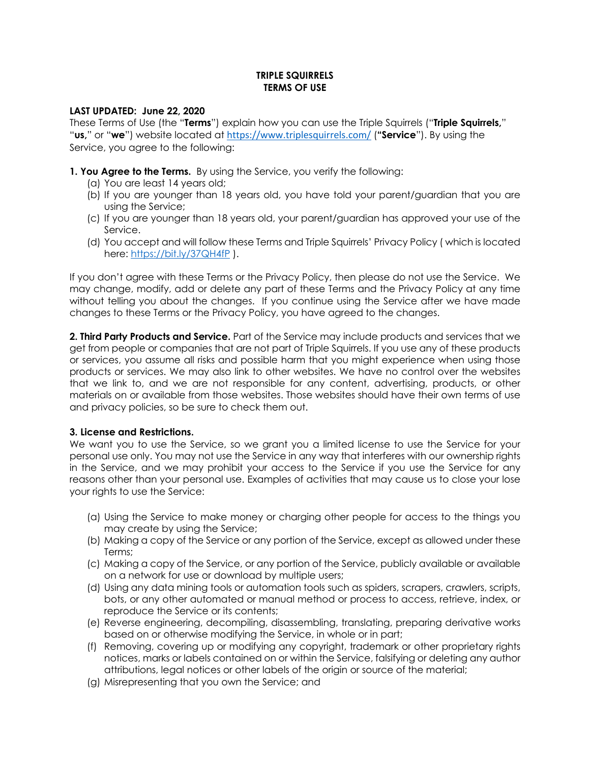# **TRIPLE SQUIRRELS TERMS OF USE**

### **LAST UPDATED: June 22, 2020**

These Terms of Use (the "**Terms**") explain how you can use the Triple Squirrels ("**Triple Squirrels,**" "**us,**" or "**we**") website located at https://www.triplesquirrels.com/ (**"Service**"). By using the Service, you agree to the following:

- **1. You Agree to the Terms.** By using the Service, you verify the following:
	- (a) You are least 14 years old;
	- (b) If you are younger than 18 years old, you have told your parent/guardian that you are using the Service;
	- (c) If you are younger than 18 years old, your parent/guardian has approved your use of the Service.
	- (d) You accept and will follow these Terms and Triple Squirrels' Privacy Policy ( which is located here: https://bit.ly/37QH4fP ).

If you don't agree with these Terms or the Privacy Policy, then please do not use the Service. We may change, modify, add or delete any part of these Terms and the Privacy Policy at any time without telling you about the changes. If you continue using the Service after we have made changes to these Terms or the Privacy Policy, you have agreed to the changes.

**2. Third Party Products and Service.** Part of the Service may include products and services that we get from people or companies that are not part of Triple Squirrels. If you use any of these products or services, you assume all risks and possible harm that you might experience when using those products or services. We may also link to other websites. We have no control over the websites that we link to, and we are not responsible for any content, advertising, products, or other materials on or available from those websites. Those websites should have their own terms of use and privacy policies, so be sure to check them out.

### **3. License and Restrictions.**

We want you to use the Service, so we grant you a limited license to use the Service for your personal use only. You may not use the Service in any way that interferes with our ownership rights in the Service, and we may prohibit your access to the Service if you use the Service for any reasons other than your personal use. Examples of activities that may cause us to close your lose your rights to use the Service:

- (a) Using the Service to make money or charging other people for access to the things you may create by using the Service;
- (b) Making a copy of the Service or any portion of the Service, except as allowed under these Terms;
- (c) Making a copy of the Service, or any portion of the Service, publicly available or available on a network for use or download by multiple users;
- (d) Using any data mining tools or automation tools such as spiders, scrapers, crawlers, scripts, bots, or any other automated or manual method or process to access, retrieve, index, or reproduce the Service or its contents;
- (e) Reverse engineering, decompiling, disassembling, translating, preparing derivative works based on or otherwise modifying the Service, in whole or in part;
- (f) Removing, covering up or modifying any copyright, trademark or other proprietary rights notices, marks or labels contained on or within the Service, falsifying or deleting any author attributions, legal notices or other labels of the origin or source of the material;
- (g) Misrepresenting that you own the Service; and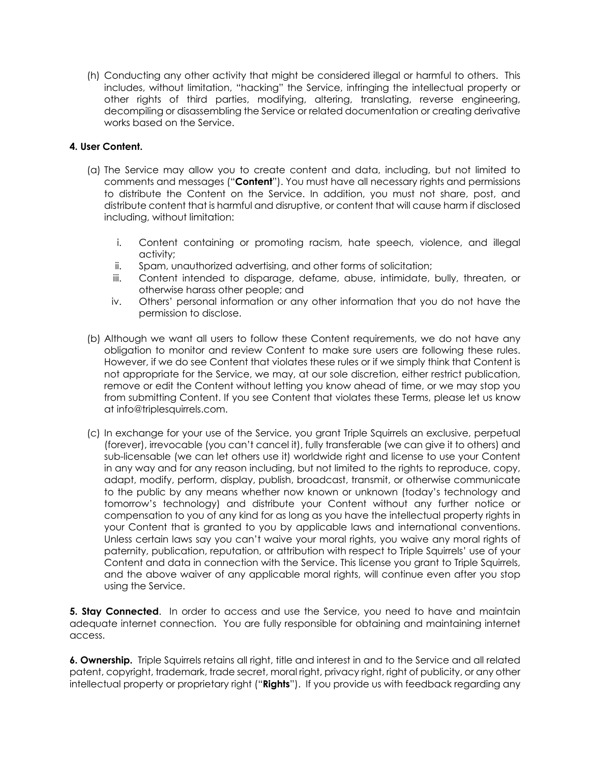(h) Conducting any other activity that might be considered illegal or harmful to others. This includes, without limitation, "hacking" the Service, infringing the intellectual property or other rights of third parties, modifying, altering, translating, reverse engineering, decompiling or disassembling the Service or related documentation or creating derivative works based on the Service.

# **4. User Content.**

- (a) The Service may allow you to create content and data, including, but not limited to comments and messages ("**Content**"). You must have all necessary rights and permissions to distribute the Content on the Service. In addition, you must not share, post, and distribute content that is harmful and disruptive, or content that will cause harm if disclosed including, without limitation:
	- i. Content containing or promoting racism, hate speech, violence, and illegal activity;
	- ii. Spam, unauthorized advertising, and other forms of solicitation;
	- iii. Content intended to disparage, defame, abuse, intimidate, bully, threaten, or otherwise harass other people; and
	- iv. Others' personal information or any other information that you do not have the permission to disclose.
- (b) Although we want all users to follow these Content requirements, we do not have any obligation to monitor and review Content to make sure users are following these rules. However, if we do see Content that violates these rules or if we simply think that Content is not appropriate for the Service, we may, at our sole discretion, either restrict publication, remove or edit the Content without letting you know ahead of time, or we may stop you from submitting Content. If you see Content that violates these Terms, please let us know at info@triplesquirrels.com.
- (c) In exchange for your use of the Service, you grant Triple Squirrels an exclusive, perpetual (forever), irrevocable (you can't cancel it), fully transferable (we can give it to others) and sub-licensable (we can let others use it) worldwide right and license to use your Content in any way and for any reason including, but not limited to the rights to reproduce, copy, adapt, modify, perform, display, publish, broadcast, transmit, or otherwise communicate to the public by any means whether now known or unknown (today's technology and tomorrow's technology) and distribute your Content without any further notice or compensation to you of any kind for as long as you have the intellectual property rights in your Content that is granted to you by applicable laws and international conventions. Unless certain laws say you can't waive your moral rights, you waive any moral rights of paternity, publication, reputation, or attribution with respect to Triple Squirrels' use of your Content and data in connection with the Service. This license you grant to Triple Squirrels, and the above waiver of any applicable moral rights, will continue even after you stop using the Service.

**5. Stay Connected**. In order to access and use the Service, you need to have and maintain adequate internet connection. You are fully responsible for obtaining and maintaining internet access.

**6. Ownership.** Triple Squirrels retains all right, title and interest in and to the Service and all related patent, copyright, trademark, trade secret, moral right, privacy right, right of publicity, or any other intellectual property or proprietary right ("**Rights**"). If you provide us with feedback regarding any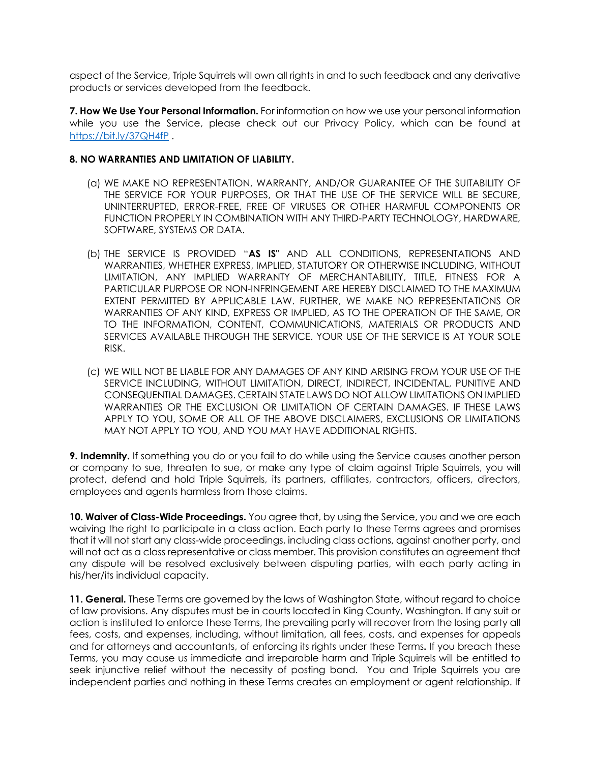aspect of the Service, Triple Squirrels will own all rights in and to such feedback and any derivative products or services developed from the feedback.

**7. How We Use Your Personal Information.** For information on how we use your personal information while you use the Service, please check out our Privacy Policy, which can be found at https://bit.ly/37QH4fP.

#### **8. NO WARRANTIES AND LIMITATION OF LIABILITY.**

- (a) WE MAKE NO REPRESENTATION, WARRANTY, AND/OR GUARANTEE OF THE SUITABILITY OF THE SERVICE FOR YOUR PURPOSES, OR THAT THE USE OF THE SERVICE WILL BE SECURE, UNINTERRUPTED, ERROR-FREE, FREE OF VIRUSES OR OTHER HARMFUL COMPONENTS OR FUNCTION PROPERLY IN COMBINATION WITH ANY THIRD-PARTY TECHNOLOGY, HARDWARE, SOFTWARE, SYSTEMS OR DATA.
- (b) THE SERVICE IS PROVIDED "**AS IS**" AND ALL CONDITIONS, REPRESENTATIONS AND WARRANTIES, WHETHER EXPRESS, IMPLIED, STATUTORY OR OTHERWISE INCLUDING, WITHOUT LIMITATION, ANY IMPLIED WARRANTY OF MERCHANTABILITY, TITLE, FITNESS FOR A PARTICULAR PURPOSE OR NON-INFRINGEMENT ARE HEREBY DISCLAIMED TO THE MAXIMUM EXTENT PERMITTED BY APPLICABLE LAW. FURTHER, WE MAKE NO REPRESENTATIONS OR WARRANTIES OF ANY KIND, EXPRESS OR IMPLIED, AS TO THE OPERATION OF THE SAME, OR TO THE INFORMATION, CONTENT, COMMUNICATIONS, MATERIALS OR PRODUCTS AND SERVICES AVAILABLE THROUGH THE SERVICE. YOUR USE OF THE SERVICE IS AT YOUR SOLE RISK.
- (c) WE WILL NOT BE LIABLE FOR ANY DAMAGES OF ANY KIND ARISING FROM YOUR USE OF THE SERVICE INCLUDING, WITHOUT LIMITATION, DIRECT, INDIRECT, INCIDENTAL, PUNITIVE AND CONSEQUENTIAL DAMAGES. CERTAIN STATE LAWS DO NOT ALLOW LIMITATIONS ON IMPLIED WARRANTIES OR THE EXCLUSION OR LIMITATION OF CERTAIN DAMAGES. IF THESE LAWS APPLY TO YOU, SOME OR ALL OF THE ABOVE DISCLAIMERS, EXCLUSIONS OR LIMITATIONS MAY NOT APPLY TO YOU, AND YOU MAY HAVE ADDITIONAL RIGHTS.

**9. Indemnity.** If something you do or you fail to do while using the Service causes another person or company to sue, threaten to sue, or make any type of claim against Triple Squirrels, you will protect, defend and hold Triple Squirrels, its partners, affiliates, contractors, officers, directors, employees and agents harmless from those claims.

**10. Waiver of Class-Wide Proceedings.** You agree that, by using the Service, you and we are each waiving the right to participate in a class action. Each party to these Terms agrees and promises that it will not start any class-wide proceedings, including class actions, against another party, and will not act as a class representative or class member. This provision constitutes an agreement that any dispute will be resolved exclusively between disputing parties, with each party acting in his/her/its individual capacity.

**11. General.** These Terms are governed by the laws of Washington State, without regard to choice of law provisions. Any disputes must be in courts located in King County, Washington. If any suit or action is instituted to enforce these Terms, the prevailing party will recover from the losing party all fees, costs, and expenses, including, without limitation, all fees, costs, and expenses for appeals and for attorneys and accountants, of enforcing its rights under these Terms**.** If you breach these Terms, you may cause us immediate and irreparable harm and Triple Squirrels will be entitled to seek injunctive relief without the necessity of posting bond. You and Triple Squirrels you are independent parties and nothing in these Terms creates an employment or agent relationship. If